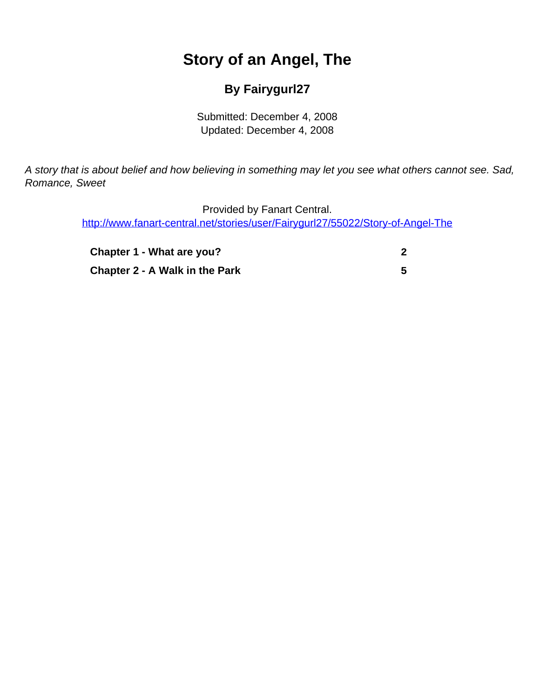## **Story of an Angel, The**

## **By Fairygurl27**

Submitted: December 4, 2008 Updated: December 4, 2008

<span id="page-0-0"></span>A story that is about belief and how believing in something may let you see what others cannot see. Sad, Romance, Sweet

> Provided by Fanart Central. [http://www.fanart-central.net/stories/user/Fairygurl27/55022/Story-of-Angel-The](#page-0-0)

| Chapter 1 - What are you?             |  |
|---------------------------------------|--|
| <b>Chapter 2 - A Walk in the Park</b> |  |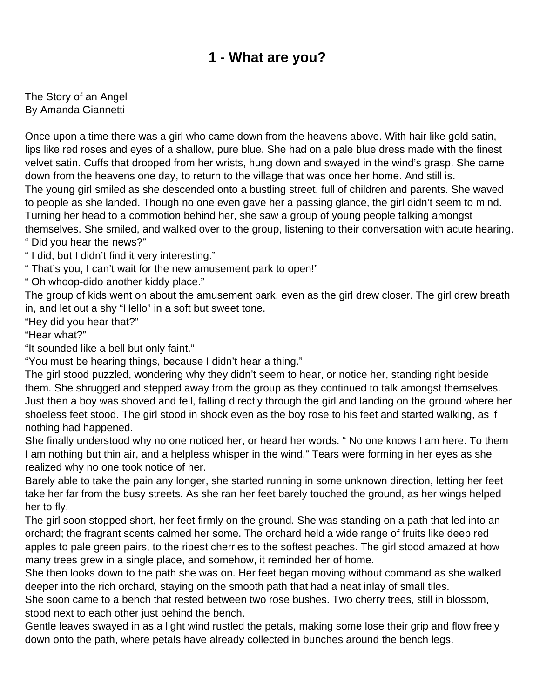## **1 - What are you?**

<span id="page-1-0"></span>The Story of an Angel By Amanda Giannetti

Once upon a time there was a girl who came down from the heavens above. With hair like gold satin, lips like red roses and eyes of a shallow, pure blue. She had on a pale blue dress made with the finest velvet satin. Cuffs that drooped from her wrists, hung down and swayed in the wind's grasp. She came down from the heavens one day, to return to the village that was once her home. And still is. The young girl smiled as she descended onto a bustling street, full of children and parents. She waved to people as she landed. Though no one even gave her a passing glance, the girl didn't seem to mind. Turning her head to a commotion behind her, she saw a group of young people talking amongst themselves. She smiled, and walked over to the group, listening to their conversation with acute hearing.

" Did you hear the news?"

" I did, but I didn't find it very interesting."

" That's you, I can't wait for the new amusement park to open!"

" Oh whoop-dido another kiddy place."

The group of kids went on about the amusement park, even as the girl drew closer. The girl drew breath in, and let out a shy "Hello" in a soft but sweet tone.

"Hey did you hear that?"

"Hear what?"

"It sounded like a bell but only faint."

"You must be hearing things, because I didn't hear a thing."

The girl stood puzzled, wondering why they didn't seem to hear, or notice her, standing right beside them. She shrugged and stepped away from the group as they continued to talk amongst themselves. Just then a boy was shoved and fell, falling directly through the girl and landing on the ground where her shoeless feet stood. The girl stood in shock even as the boy rose to his feet and started walking, as if nothing had happened.

She finally understood why no one noticed her, or heard her words. " No one knows I am here. To them I am nothing but thin air, and a helpless whisper in the wind." Tears were forming in her eyes as she realized why no one took notice of her.

Barely able to take the pain any longer, she started running in some unknown direction, letting her feet take her far from the busy streets. As she ran her feet barely touched the ground, as her wings helped her to fly.

The girl soon stopped short, her feet firmly on the ground. She was standing on a path that led into an orchard; the fragrant scents calmed her some. The orchard held a wide range of fruits like deep red apples to pale green pairs, to the ripest cherries to the softest peaches. The girl stood amazed at how many trees grew in a single place, and somehow, it reminded her of home.

She then looks down to the path she was on. Her feet began moving without command as she walked deeper into the rich orchard, staying on the smooth path that had a neat inlay of small tiles.

She soon came to a bench that rested between two rose bushes. Two cherry trees, still in blossom, stood next to each other just behind the bench.

Gentle leaves swayed in as a light wind rustled the petals, making some lose their grip and flow freely down onto the path, where petals have already collected in bunches around the bench legs.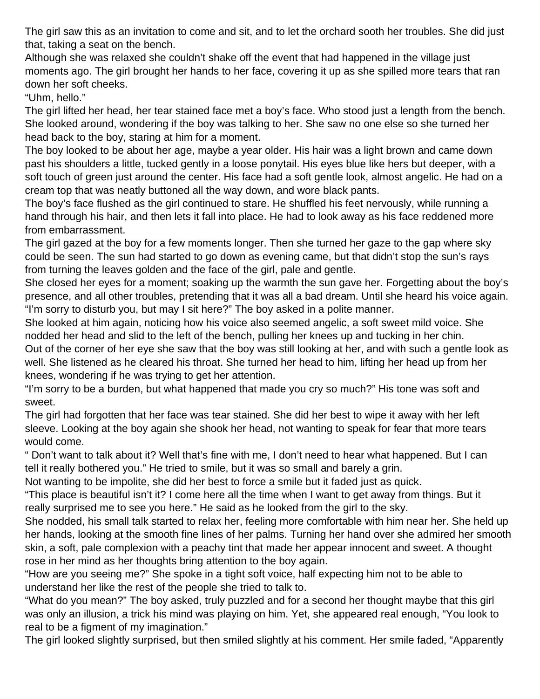The girl saw this as an invitation to come and sit, and to let the orchard sooth her troubles. She did just that, taking a seat on the bench.

Although she was relaxed she couldn't shake off the event that had happened in the village just moments ago. The girl brought her hands to her face, covering it up as she spilled more tears that ran down her soft cheeks.

"Uhm, hello."

The girl lifted her head, her tear stained face met a boy's face. Who stood just a length from the bench. She looked around, wondering if the boy was talking to her. She saw no one else so she turned her head back to the boy, staring at him for a moment.

The boy looked to be about her age, maybe a year older. His hair was a light brown and came down past his shoulders a little, tucked gently in a loose ponytail. His eyes blue like hers but deeper, with a soft touch of green just around the center. His face had a soft gentle look, almost angelic. He had on a cream top that was neatly buttoned all the way down, and wore black pants.

The boy's face flushed as the girl continued to stare. He shuffled his feet nervously, while running a hand through his hair, and then lets it fall into place. He had to look away as his face reddened more from embarrassment.

The girl gazed at the boy for a few moments longer. Then she turned her gaze to the gap where sky could be seen. The sun had started to go down as evening came, but that didn't stop the sun's rays from turning the leaves golden and the face of the girl, pale and gentle.

She closed her eyes for a moment; soaking up the warmth the sun gave her. Forgetting about the boy's presence, and all other troubles, pretending that it was all a bad dream. Until she heard his voice again. "I'm sorry to disturb you, but may I sit here?" The boy asked in a polite manner.

She looked at him again, noticing how his voice also seemed angelic, a soft sweet mild voice. She nodded her head and slid to the left of the bench, pulling her knees up and tucking in her chin.

Out of the corner of her eye she saw that the boy was still looking at her, and with such a gentle look as well. She listened as he cleared his throat. She turned her head to him, lifting her head up from her knees, wondering if he was trying to get her attention.

"I'm sorry to be a burden, but what happened that made you cry so much?" His tone was soft and sweet.

The girl had forgotten that her face was tear stained. She did her best to wipe it away with her left sleeve. Looking at the boy again she shook her head, not wanting to speak for fear that more tears would come.

" Don't want to talk about it? Well that's fine with me, I don't need to hear what happened. But I can tell it really bothered you." He tried to smile, but it was so small and barely a grin.

Not wanting to be impolite, she did her best to force a smile but it faded just as quick.

"This place is beautiful isn't it? I come here all the time when I want to get away from things. But it really surprised me to see you here." He said as he looked from the girl to the sky.

She nodded, his small talk started to relax her, feeling more comfortable with him near her. She held up her hands, looking at the smooth fine lines of her palms. Turning her hand over she admired her smooth skin, a soft, pale complexion with a peachy tint that made her appear innocent and sweet. A thought rose in her mind as her thoughts bring attention to the boy again.

"How are you seeing me?" She spoke in a tight soft voice, half expecting him not to be able to understand her like the rest of the people she tried to talk to.

"What do you mean?" The boy asked, truly puzzled and for a second her thought maybe that this girl was only an illusion, a trick his mind was playing on him. Yet, she appeared real enough, "You look to real to be a figment of my imagination."

The girl looked slightly surprised, but then smiled slightly at his comment. Her smile faded, "Apparently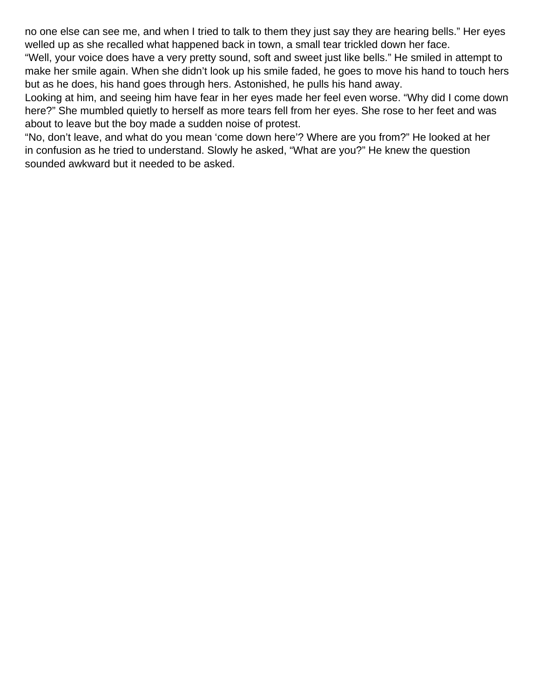no one else can see me, and when I tried to talk to them they just say they are hearing bells." Her eyes welled up as she recalled what happened back in town, a small tear trickled down her face.

"Well, your voice does have a very pretty sound, soft and sweet just like bells." He smiled in attempt to make her smile again. When she didn't look up his smile faded, he goes to move his hand to touch hers but as he does, his hand goes through hers. Astonished, he pulls his hand away.

Looking at him, and seeing him have fear in her eyes made her feel even worse. "Why did I come down here?" She mumbled quietly to herself as more tears fell from her eyes. She rose to her feet and was about to leave but the boy made a sudden noise of protest.

"No, don't leave, and what do you mean 'come down here'? Where are you from?" He looked at her in confusion as he tried to understand. Slowly he asked, "What are you?" He knew the question sounded awkward but it needed to be asked.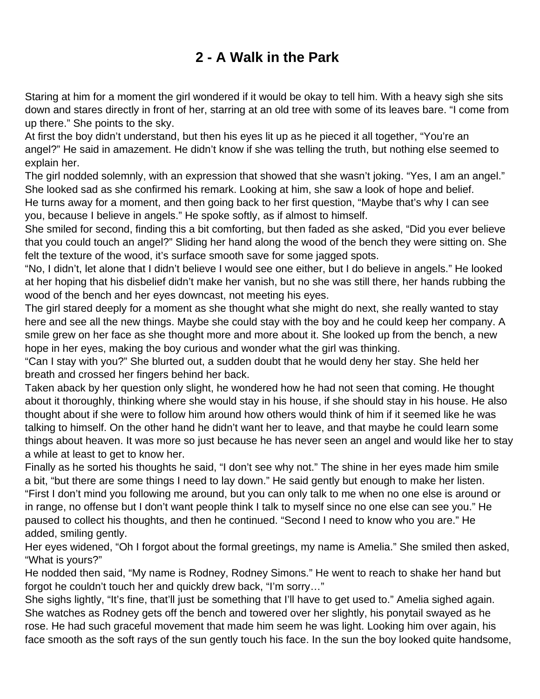## **2 - A Walk in the Park**

<span id="page-4-0"></span>Staring at him for a moment the girl wondered if it would be okay to tell him. With a heavy sigh she sits down and stares directly in front of her, starring at an old tree with some of its leaves bare. "I come from up there." She points to the sky.

At first the boy didn't understand, but then his eyes lit up as he pieced it all together, "You're an angel?" He said in amazement. He didn't know if she was telling the truth, but nothing else seemed to explain her.

The girl nodded solemnly, with an expression that showed that she wasn't joking. "Yes, I am an angel." She looked sad as she confirmed his remark. Looking at him, she saw a look of hope and belief.

He turns away for a moment, and then going back to her first question, "Maybe that's why I can see you, because I believe in angels." He spoke softly, as if almost to himself.

She smiled for second, finding this a bit comforting, but then faded as she asked, "Did you ever believe that you could touch an angel?" Sliding her hand along the wood of the bench they were sitting on. She felt the texture of the wood, it's surface smooth save for some jagged spots.

"No, I didn't, let alone that I didn't believe I would see one either, but I do believe in angels." He looked at her hoping that his disbelief didn't make her vanish, but no she was still there, her hands rubbing the wood of the bench and her eyes downcast, not meeting his eyes.

The girl stared deeply for a moment as she thought what she might do next, she really wanted to stay here and see all the new things. Maybe she could stay with the boy and he could keep her company. A smile grew on her face as she thought more and more about it. She looked up from the bench, a new hope in her eyes, making the boy curious and wonder what the girl was thinking.

"Can I stay with you?" She blurted out, a sudden doubt that he would deny her stay. She held her breath and crossed her fingers behind her back.

Taken aback by her question only slight, he wondered how he had not seen that coming. He thought about it thoroughly, thinking where she would stay in his house, if she should stay in his house. He also thought about if she were to follow him around how others would think of him if it seemed like he was talking to himself. On the other hand he didn't want her to leave, and that maybe he could learn some things about heaven. It was more so just because he has never seen an angel and would like her to stay a while at least to get to know her.

Finally as he sorted his thoughts he said, "I don't see why not." The shine in her eyes made him smile a bit, "but there are some things I need to lay down." He said gently but enough to make her listen. "First I don't mind you following me around, but you can only talk to me when no one else is around or in range, no offense but I don't want people think I talk to myself since no one else can see you." He paused to collect his thoughts, and then he continued. "Second I need to know who you are." He added, smiling gently.

Her eyes widened, "Oh I forgot about the formal greetings, my name is Amelia." She smiled then asked, "What is yours?"

He nodded then said, "My name is Rodney, Rodney Simons." He went to reach to shake her hand but forgot he couldn't touch her and quickly drew back, "I'm sorry…"

She sighs lightly, "It's fine, that'll just be something that I'll have to get used to." Amelia sighed again. She watches as Rodney gets off the bench and towered over her slightly, his ponytail swayed as he rose. He had such graceful movement that made him seem he was light. Looking him over again, his face smooth as the soft rays of the sun gently touch his face. In the sun the boy looked quite handsome,